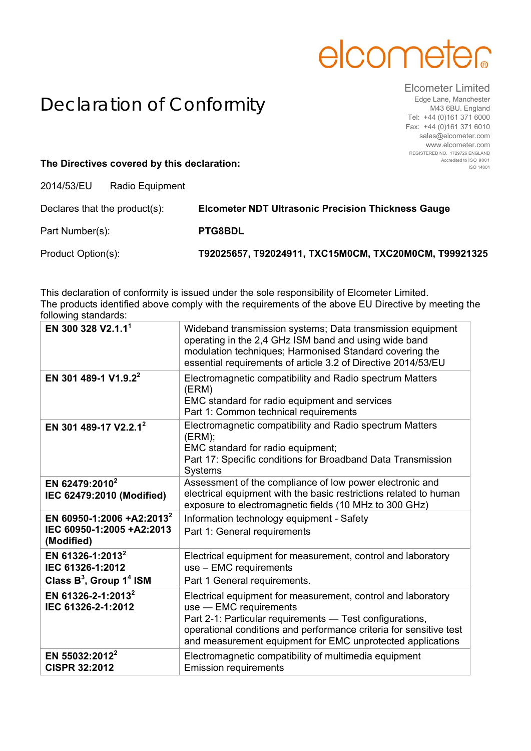## elcometer

## Declaration of Conformity

Elcometer Limited Edge Lane, Manchester M43 6BU. England Tel: +44 (0)161 371 6000 Fax: +44 (0)161 371 6010 sales@elcometer.com www.elcometer.com REGISTERED NO. 1729726 ENGLAND Accredited to ISO 9001 ISO 14001

## **The Directives covered by this declaration:**

2014/53/EU Radio Equipment

| Declares that the product(s): | <b>Elcometer NDT Ultrasonic Precision Thickness Gauge</b> |
|-------------------------------|-----------------------------------------------------------|
| Part Number(s):               | <b>PTG8BDL</b>                                            |
| Product Option(s):            | T92025657, T92024911, TXC15M0CM, TXC20M0CM, T99921325     |

This declaration of conformity is issued under the sole responsibility of Elcometer Limited. The products identified above comply with the requirements of the above EU Directive by meeting the following standards:

| EN 300 328 V2.1.1 <sup>1</sup>                                                    | Wideband transmission systems; Data transmission equipment<br>operating in the 2,4 GHz ISM band and using wide band<br>modulation techniques; Harmonised Standard covering the<br>essential requirements of article 3.2 of Directive 2014/53/EU                                        |
|-----------------------------------------------------------------------------------|----------------------------------------------------------------------------------------------------------------------------------------------------------------------------------------------------------------------------------------------------------------------------------------|
| EN 301 489-1 V1.9.2 <sup>2</sup>                                                  | Electromagnetic compatibility and Radio spectrum Matters<br>(ERM)<br>EMC standard for radio equipment and services<br>Part 1: Common technical requirements                                                                                                                            |
| EN 301 489-17 V2.2.1 <sup>2</sup>                                                 | Electromagnetic compatibility and Radio spectrum Matters<br>(ERM);<br>EMC standard for radio equipment;<br>Part 17: Specific conditions for Broadband Data Transmission<br><b>Systems</b>                                                                                              |
| EN 62479:2010 <sup>2</sup><br>IEC 62479:2010 (Modified)                           | Assessment of the compliance of low power electronic and<br>electrical equipment with the basic restrictions related to human<br>exposure to electromagnetic fields (10 MHz to 300 GHz)                                                                                                |
| EN 60950-1:2006 +A2:2013 <sup>2</sup><br>IEC 60950-1:2005 +A2:2013<br>(Modified)  | Information technology equipment - Safety<br>Part 1: General requirements                                                                                                                                                                                                              |
| EN 61326-1:2013 <sup>2</sup><br>IEC 61326-1:2012<br>Class $B^3$ , Group $1^4$ ISM | Electrical equipment for measurement, control and laboratory<br>use - EMC requirements<br>Part 1 General requirements.                                                                                                                                                                 |
| EN 61326-2-1:2013 <sup>2</sup><br>IEC 61326-2-1:2012                              | Electrical equipment for measurement, control and laboratory<br>use - EMC requirements<br>Part 2-1: Particular requirements - Test configurations,<br>operational conditions and performance criteria for sensitive test<br>and measurement equipment for EMC unprotected applications |
| EN 55032:2012 <sup>2</sup><br><b>CISPR 32:2012</b>                                | Electromagnetic compatibility of multimedia equipment<br><b>Emission requirements</b>                                                                                                                                                                                                  |